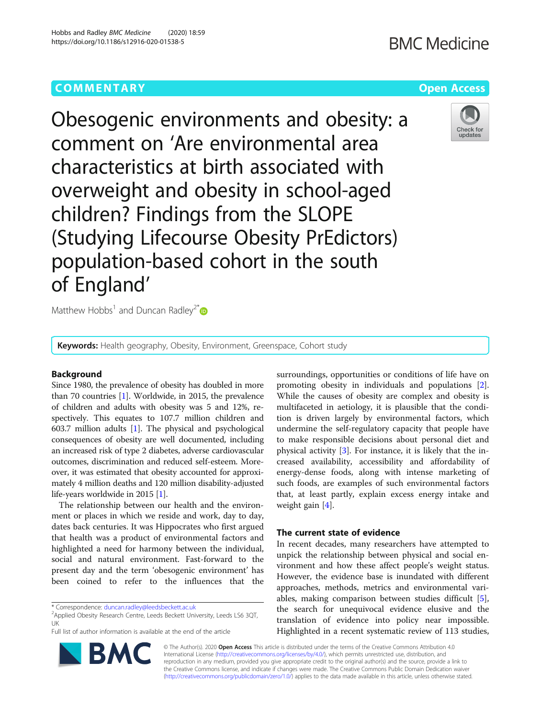## **COMMENTARY COMMENTARY COMMENTARY**

# **BMC Medicine**



Obesogenic environments and obesity: a comment on 'Are environmental area characteristics at birth associated with overweight and obesity in school-aged children? Findings from the SLOPE (Studying Lifecourse Obesity PrEdictors) population-based cohort in the south of England'

Matthew Hobbs<sup>1</sup> and Duncan Radley<sup>2\*</sup>

Keywords: Health geography, Obesity, Environment, Greenspace, Cohort study

### Background

Since 1980, the prevalence of obesity has doubled in more than 70 countries [[1\]](#page-2-0). Worldwide, in 2015, the prevalence of children and adults with obesity was 5 and 12%, respectively. This equates to 107.7 million children and 603.7 million adults [[1](#page-2-0)]. The physical and psychological consequences of obesity are well documented, including an increased risk of type 2 diabetes, adverse cardiovascular outcomes, discrimination and reduced self-esteem. Moreover, it was estimated that obesity accounted for approximately 4 million deaths and 120 million disability-adjusted life-years worldwide in 2015 [[1\]](#page-2-0).

The relationship between our health and the environment or places in which we reside and work, day to day, dates back centuries. It was Hippocrates who first argued that health was a product of environmental factors and highlighted a need for harmony between the individual, social and natural environment. Fast-forward to the present day and the term 'obesogenic environment' has been coined to refer to the influences that the

\* Correspondence: [duncan.radley@leedsbeckett.ac.uk](mailto:duncan.radley@leedsbeckett.ac.uk) <sup>2</sup>

Applied Obesity Research Centre, Leeds Beckett University, Leeds LS6 3QT, UK

Full list of author information is available at the end of the article

surroundings, opportunities or conditions of life have on promoting obesity in individuals and populations [\[2](#page-2-0)]. While the causes of obesity are complex and obesity is multifaceted in aetiology, it is plausible that the condition is driven largely by environmental factors, which undermine the self-regulatory capacity that people have to make responsible decisions about personal diet and physical activity [[3\]](#page-2-0). For instance, it is likely that the increased availability, accessibility and affordability of energy-dense foods, along with intense marketing of such foods, are examples of such environmental factors that, at least partly, explain excess energy intake and weight gain [[4\]](#page-2-0).

### The current state of evidence

In recent decades, many researchers have attempted to unpick the relationship between physical and social environment and how these affect people's weight status. However, the evidence base is inundated with different approaches, methods, metrics and environmental variables, making comparison between studies difficult [\[5](#page-2-0)], the search for unequivocal evidence elusive and the translation of evidence into policy near impossible. Highlighted in a recent systematic review of 113 studies,

© The Author(s). 2020 Open Access This article is distributed under the terms of the Creative Commons Attribution 4.0 International License [\(http://creativecommons.org/licenses/by/4.0/](http://creativecommons.org/licenses/by/4.0/)), which permits unrestricted use, distribution, and reproduction in any medium, provided you give appropriate credit to the original author(s) and the source, provide a link to the Creative Commons license, and indicate if changes were made. The Creative Commons Public Domain Dedication waiver [\(http://creativecommons.org/publicdomain/zero/1.0/](http://creativecommons.org/publicdomain/zero/1.0/)) applies to the data made available in this article, unless otherwise stated.

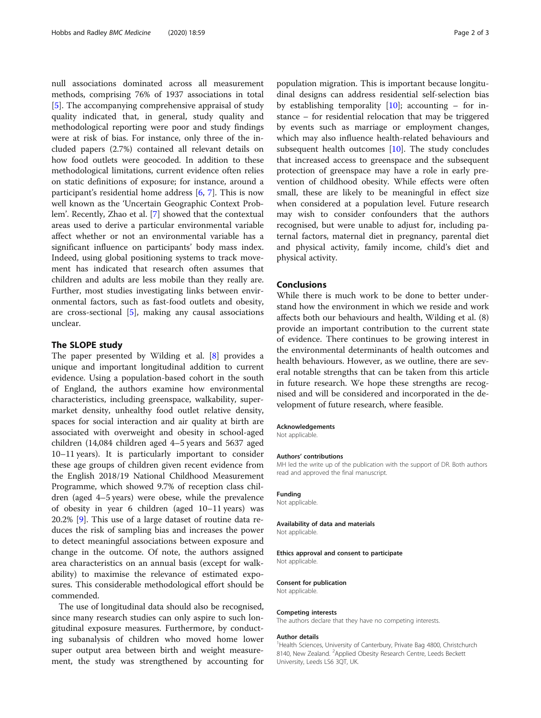null associations dominated across all measurement methods, comprising 76% of 1937 associations in total [[5\]](#page-2-0). The accompanying comprehensive appraisal of study quality indicated that, in general, study quality and methodological reporting were poor and study findings were at risk of bias. For instance, only three of the included papers (2.7%) contained all relevant details on how food outlets were geocoded. In addition to these methodological limitations, current evidence often relies on static definitions of exposure; for instance, around a participant's residential home address [\[6](#page-2-0), [7\]](#page-2-0). This is now well known as the 'Uncertain Geographic Context Problem'. Recently, Zhao et al. [\[7](#page-2-0)] showed that the contextual areas used to derive a particular environmental variable affect whether or not an environmental variable has a significant influence on participants' body mass index. Indeed, using global positioning systems to track movement has indicated that research often assumes that children and adults are less mobile than they really are. Further, most studies investigating links between environmental factors, such as fast-food outlets and obesity, are cross-sectional [[5](#page-2-0)], making any causal associations unclear.

#### The SLOPE study

The paper presented by Wilding et al. [\[8](#page-2-0)] provides a unique and important longitudinal addition to current evidence. Using a population-based cohort in the south of England, the authors examine how environmental characteristics, including greenspace, walkability, supermarket density, unhealthy food outlet relative density, spaces for social interaction and air quality at birth are associated with overweight and obesity in school-aged children (14,084 children aged 4–5 years and 5637 aged 10–11 years). It is particularly important to consider these age groups of children given recent evidence from the English 2018/19 National Childhood Measurement Programme, which showed 9.7% of reception class children (aged 4–5 years) were obese, while the prevalence of obesity in year 6 children (aged 10–11 years) was 20.2% [\[9\]](#page-2-0). This use of a large dataset of routine data reduces the risk of sampling bias and increases the power to detect meaningful associations between exposure and change in the outcome. Of note, the authors assigned area characteristics on an annual basis (except for walkability) to maximise the relevance of estimated exposures. This considerable methodological effort should be commended.

The use of longitudinal data should also be recognised, since many research studies can only aspire to such longitudinal exposure measures. Furthermore, by conducting subanalysis of children who moved home lower super output area between birth and weight measurement, the study was strengthened by accounting for population migration. This is important because longitudinal designs can address residential self-selection bias by establishing temporality  $[10]$ ; accounting – for instance – for residential relocation that may be triggered by events such as marriage or employment changes, which may also influence health-related behaviours and subsequent health outcomes  $[10]$  $[10]$  $[10]$ . The study concludes that increased access to greenspace and the subsequent protection of greenspace may have a role in early prevention of childhood obesity. While effects were often small, these are likely to be meaningful in effect size when considered at a population level. Future research may wish to consider confounders that the authors recognised, but were unable to adjust for, including paternal factors, maternal diet in pregnancy, parental diet and physical activity, family income, child's diet and physical activity.

#### Conclusions

While there is much work to be done to better understand how the environment in which we reside and work affects both our behaviours and health, Wilding et al. (8) provide an important contribution to the current state of evidence. There continues to be growing interest in the environmental determinants of health outcomes and health behaviours. However, as we outline, there are several notable strengths that can be taken from this article in future research. We hope these strengths are recognised and will be considered and incorporated in the development of future research, where feasible.

#### Acknowledgements

Not applicable.

#### Authors' contributions

MH led the write up of the publication with the support of DR. Both authors read and approved the final manuscript.

#### Funding

Not applicable.

#### Availability of data and materials

Not applicable.

#### Ethics approval and consent to participate Not applicable.

### Consent for publication

Not applicable.

#### Competing interests

The authors declare that they have no competing interests.

#### Author details

<sup>1</sup>Health Sciences, University of Canterbury, Private Bag 4800, Christchurch 8140, New Zealand. <sup>2</sup>Applied Obesity Research Centre, Leeds Beckett University, Leeds LS6 3QT, UK.